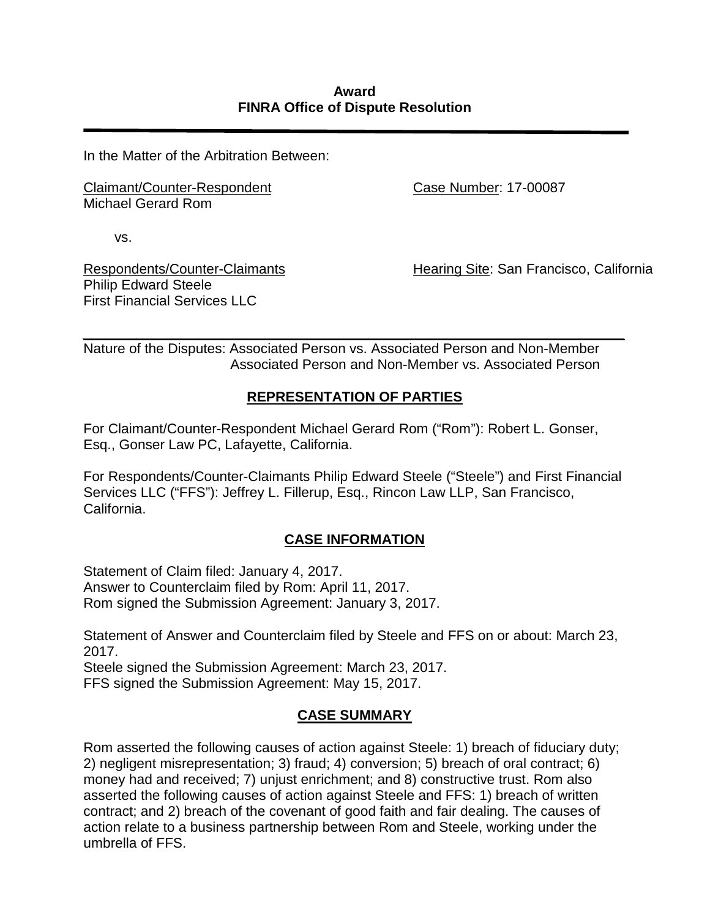In the Matter of the Arbitration Between:

Claimant/Counter-Respondent Michael Gerard Rom

Case Number: 17-00087

vs.

Respondents/Counter-Claimants Philip Edward Steele First Financial Services LLC

Hearing Site: San Francisco, California

*\_\_\_\_\_\_\_\_\_\_\_\_\_\_\_\_\_\_\_\_\_\_\_\_\_\_\_\_\_\_\_\_\_\_\_\_\_\_\_\_\_\_\_\_\_\_\_\_\_\_\_\_\_\_\_\_\_\_\_\_\_\_\_\_\_\_\_\_\_\_*  Nature of the Disputes: Associated Person vs. Associated Person and Non-Member Associated Person and Non-Member vs. Associated Person

# **REPRESENTATION OF PARTIES**

For Claimant/Counter-Respondent Michael Gerard Rom ("Rom"): Robert L. Gonser, Esq., Gonser Law PC, Lafayette, California.

For Respondents/Counter-Claimants Philip Edward Steele ("Steele") and First Financial Services LLC ("FFS"): Jeffrey L. Fillerup, Esq., Rincon Law LLP, San Francisco, California.

## **CASE INFORMATION**

Statement of Claim filed: January 4, 2017. Answer to Counterclaim filed by Rom: April 11, 2017. Rom signed the Submission Agreement: January 3, 2017.

Statement of Answer and Counterclaim filed by Steele and FFS on or about: March 23, 2017.

Steele signed the Submission Agreement: March 23, 2017. FFS signed the Submission Agreement: May 15, 2017.

## **CASE SUMMARY**

Rom asserted the following causes of action against Steele: 1) breach of fiduciary duty; 2) negligent misrepresentation; 3) fraud; 4) conversion; 5) breach of oral contract; 6) money had and received; 7) unjust enrichment; and 8) constructive trust. Rom also asserted the following causes of action against Steele and FFS: 1) breach of written contract; and 2) breach of the covenant of good faith and fair dealing. The causes of action relate to a business partnership between Rom and Steele, working under the umbrella of FFS.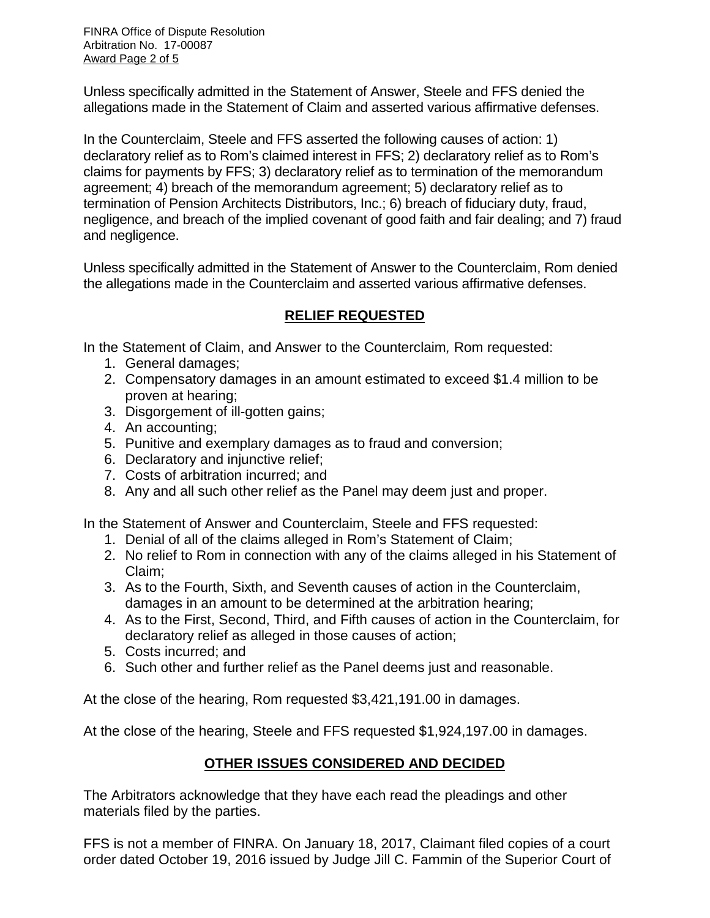FINRA Office of Dispute Resolution Arbitration No. 17-00087 Award Page 2 of 5

Unless specifically admitted in the Statement of Answer, Steele and FFS denied the allegations made in the Statement of Claim and asserted various affirmative defenses.

In the Counterclaim, Steele and FFS asserted the following causes of action: 1) declaratory relief as to Rom's claimed interest in FFS; 2) declaratory relief as to Rom's claims for payments by FFS; 3) declaratory relief as to termination of the memorandum agreement; 4) breach of the memorandum agreement; 5) declaratory relief as to termination of Pension Architects Distributors, Inc.; 6) breach of fiduciary duty, fraud, negligence, and breach of the implied covenant of good faith and fair dealing; and 7) fraud and negligence.

Unless specifically admitted in the Statement of Answer to the Counterclaim, Rom denied the allegations made in the Counterclaim and asserted various affirmative defenses.

## **RELIEF REQUESTED**

In the Statement of Claim, and Answer to the Counterclaim*,* Rom requested:

- 1. General damages;
- 2. Compensatory damages in an amount estimated to exceed \$1.4 million to be proven at hearing;
- 3. Disgorgement of ill-gotten gains;
- 4. An accounting;
- 5. Punitive and exemplary damages as to fraud and conversion;
- 6. Declaratory and injunctive relief;
- 7. Costs of arbitration incurred; and
- 8. Any and all such other relief as the Panel may deem just and proper.

In the Statement of Answer and Counterclaim, Steele and FFS requested:

- 1. Denial of all of the claims alleged in Rom's Statement of Claim;
- 2. No relief to Rom in connection with any of the claims alleged in his Statement of Claim;
- 3. As to the Fourth, Sixth, and Seventh causes of action in the Counterclaim, damages in an amount to be determined at the arbitration hearing;
- 4. As to the First, Second, Third, and Fifth causes of action in the Counterclaim, for declaratory relief as alleged in those causes of action;
- 5. Costs incurred; and
- 6. Such other and further relief as the Panel deems just and reasonable.

At the close of the hearing, Rom requested \$3,421,191.00 in damages.

At the close of the hearing, Steele and FFS requested \$1,924,197.00 in damages.

## **OTHER ISSUES CONSIDERED AND DECIDED**

The Arbitrators acknowledge that they have each read the pleadings and other materials filed by the parties.

FFS is not a member of FINRA. On January 18, 2017, Claimant filed copies of a court order dated October 19, 2016 issued by Judge Jill C. Fammin of the Superior Court of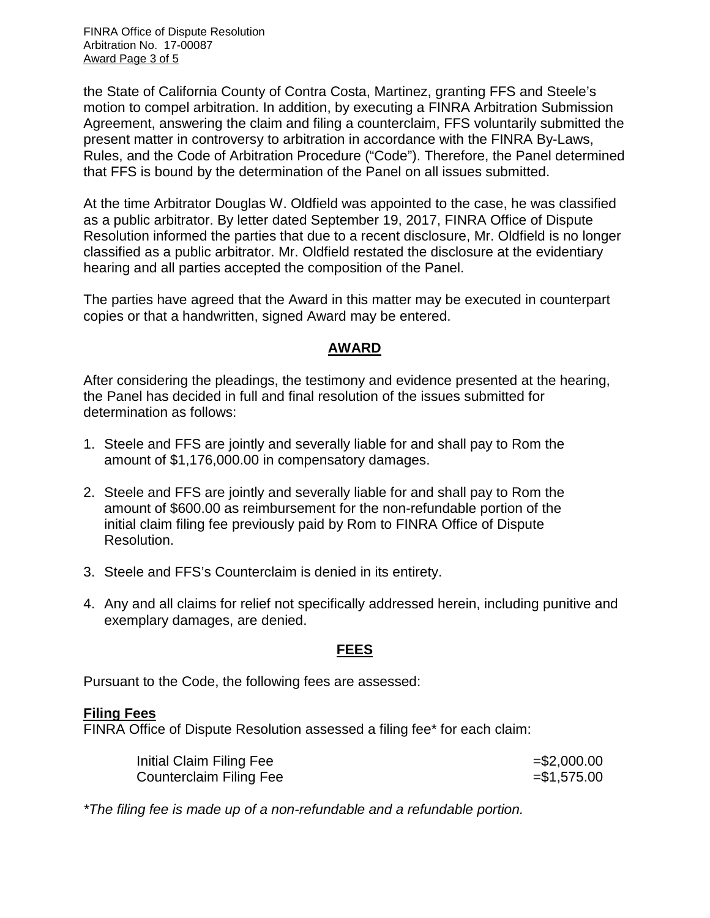FINRA Office of Dispute Resolution Arbitration No. 17-00087 Award Page 3 of 5

the State of California County of Contra Costa, Martinez, granting FFS and Steele's motion to compel arbitration. In addition, by executing a FINRA Arbitration Submission Agreement, answering the claim and filing a counterclaim, FFS voluntarily submitted the present matter in controversy to arbitration in accordance with the FINRA By-Laws, Rules, and the Code of Arbitration Procedure ("Code"). Therefore, the Panel determined that FFS is bound by the determination of the Panel on all issues submitted.

At the time Arbitrator Douglas W. Oldfield was appointed to the case, he was classified as a public arbitrator. By letter dated September 19, 2017, FINRA Office of Dispute Resolution informed the parties that due to a recent disclosure, Mr. Oldfield is no longer classified as a public arbitrator. Mr. Oldfield restated the disclosure at the evidentiary hearing and all parties accepted the composition of the Panel.

The parties have agreed that the Award in this matter may be executed in counterpart copies or that a handwritten, signed Award may be entered.

### **AWARD**

After considering the pleadings, the testimony and evidence presented at the hearing, the Panel has decided in full and final resolution of the issues submitted for determination as follows:

- 1. Steele and FFS are jointly and severally liable for and shall pay to Rom the amount of \$1,176,000.00 in compensatory damages.
- 2. Steele and FFS are jointly and severally liable for and shall pay to Rom the amount of \$600.00 as reimbursement for the non-refundable portion of the initial claim filing fee previously paid by Rom to FINRA Office of Dispute Resolution.
- 3. Steele and FFS's Counterclaim is denied in its entirety.
- 4. Any and all claims for relief not specifically addressed herein, including punitive and exemplary damages, are denied.

## **FEES**

Pursuant to the Code, the following fees are assessed:

#### **Filing Fees**

FINRA Office of Dispute Resolution assessed a filing fee\* for each claim:

| Initial Claim Filing Fee | $= $2,000.00$ |
|--------------------------|---------------|
| Counterclaim Filing Fee  | $= $1,575.00$ |

*\*The filing fee is made up of a non-refundable and a refundable portion.*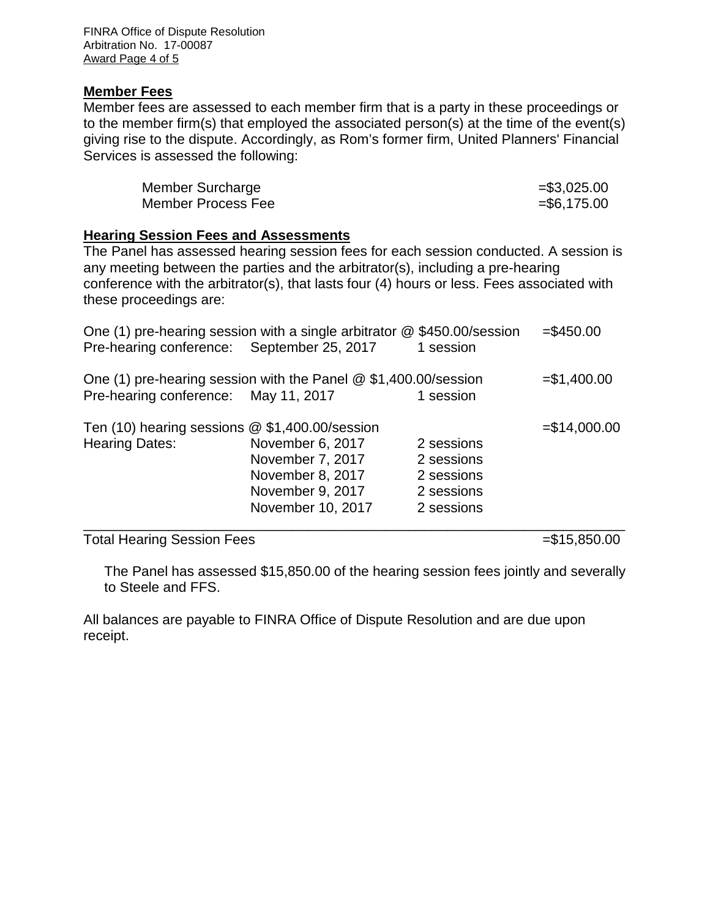FINRA Office of Dispute Resolution Arbitration No. 17-00087 Award Page 4 of 5

#### **Member Fees**

Member fees are assessed to each member firm that is a party in these proceedings or to the member firm(s) that employed the associated person(s) at the time of the event(s) giving rise to the dispute. Accordingly, as Rom's former firm, United Planners' Financial Services is assessed the following:

| Member Surcharge   | $= $3,025.00$ |
|--------------------|---------------|
| Member Process Fee | $= $6,175.00$ |

### **Hearing Session Fees and Assessments**

The Panel has assessed hearing session fees for each session conducted. A session is any meeting between the parties and the arbitrator(s), including a pre-hearing conference with the arbitrator(s), that lasts four (4) hours or less. Fees associated with these proceedings are:

| Pre-hearing conference: September 25, 2017                                  | One (1) pre-hearing session with a single arbitrator $\textcircled{2}$ \$450.00/session           | 1 session                                                          | $= $450.00$    |
|-----------------------------------------------------------------------------|---------------------------------------------------------------------------------------------------|--------------------------------------------------------------------|----------------|
| Pre-hearing conference: May 11, 2017                                        | One (1) pre-hearing session with the Panel $@$ \$1,400.00/session                                 | 1 session                                                          | $= $1,400.00$  |
| Ten $(10)$ hearing sessions $@$ \$1,400.00/session<br><b>Hearing Dates:</b> | November 6, 2017<br>November 7, 2017<br>November 8, 2017<br>November 9, 2017<br>November 10, 2017 | 2 sessions<br>2 sessions<br>2 sessions<br>2 sessions<br>2 sessions | $= $14,000.00$ |

Total Hearing Session Fees =  $\frac{15,850.00}{500}$ 

The Panel has assessed \$15,850.00 of the hearing session fees jointly and severally to Steele and FFS.

All balances are payable to FINRA Office of Dispute Resolution and are due upon receipt.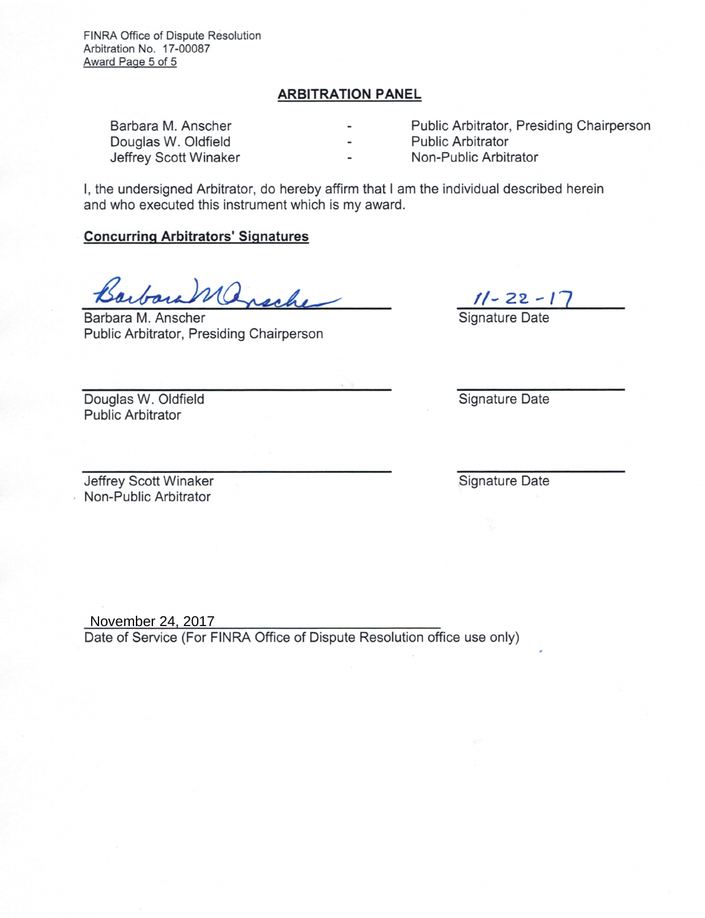FINRA Office of Dispute Resolution Arbitration No. 17-00087 Award Page 5 of 5

#### **ARBITRATION PANEL**

| Barbara M. Anscher    | $\overline{\phantom{0}}$ | Public Arbitrator, Presiding Chairperson |
|-----------------------|--------------------------|------------------------------------------|
| Douglas W. Oldfield   | $\overline{\phantom{0}}$ | <b>Public Arbitrator</b>                 |
| Jeffrey Scott Winaker | $\overline{\phantom{0}}$ | Non-Public Arbitrator                    |

I, the undersigned Arbitrator, do hereby affirm that I am the individual described herein and who executed this instrument which is my award.

## **Concurring Arbitrators' Signatures**

rch,

 $\frac{11 - 22 - 17}{\text{Sigma}}$ 

Barbara M. Anscher Public Arbitrator, Presiding Chairperson

Douglas W. Oldfield **Public Arbitrator** 

Signature Date

Jeffrey Scott Winaker Non-Public Arbitrator

Signature Date

November 24, 2017<br>Date of Service (For FINRA Office of Dispute Resolution office use only)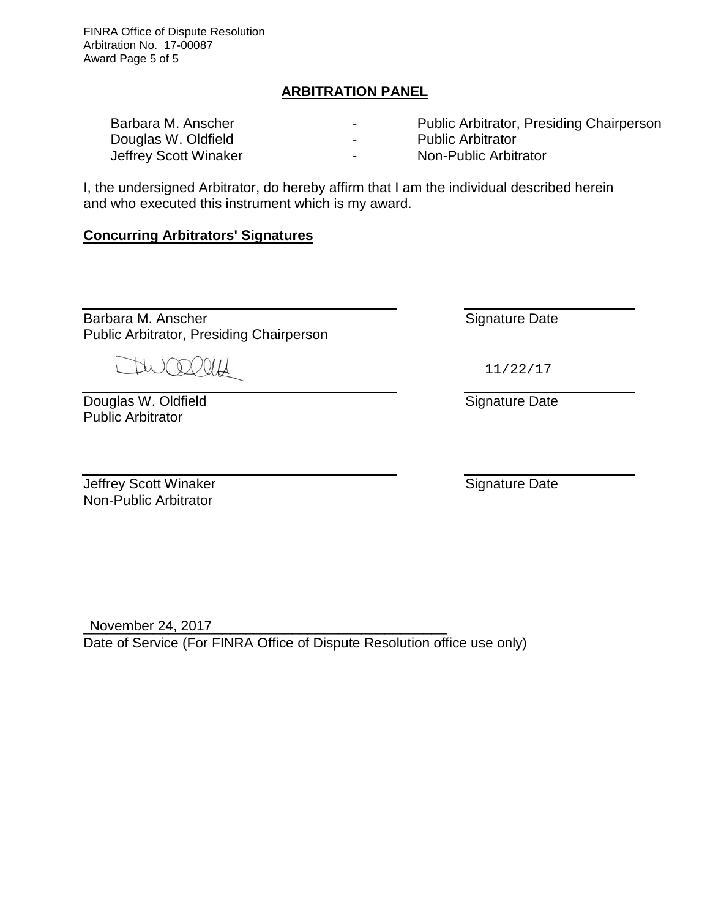FINRA Office of Dispute Resolution Arbitration No. 17-00087 Award Page 5 of 5

### **ARBITRATION PANEL**

| Barbara M. Anscher    | $\overline{\phantom{a}}$ | <b>Public Arbitrator, Presiding Chairperson</b> |
|-----------------------|--------------------------|-------------------------------------------------|
| Douglas W. Oldfield   | $\overline{\phantom{0}}$ | <b>Public Arbitrator</b>                        |
| Jeffrey Scott Winaker | ۰                        | Non-Public Arbitrator                           |

I, the undersigned Arbitrator, do hereby affirm that I am the individual described herein and who executed this instrument which is my award.

#### **Concurring Arbitrators' Signatures**

Barbara M. Anscher Public Arbitrator, Presiding Chairperson

 $O(111)$ 

Douglas W. Oldfield Public Arbitrator

Jeffrey Scott Winaker Non-Public Arbitrator

Signature Date

11/22/17

Signature Date

Signature Date

\_\_\_\_\_\_\_\_\_\_\_\_\_\_\_\_\_\_\_\_\_\_\_\_\_\_\_\_\_\_\_\_\_\_\_\_\_\_\_\_\_\_\_\_\_\_\_ November 24, 2017 Date of Service (For FINRA Office of Dispute Resolution office use only)